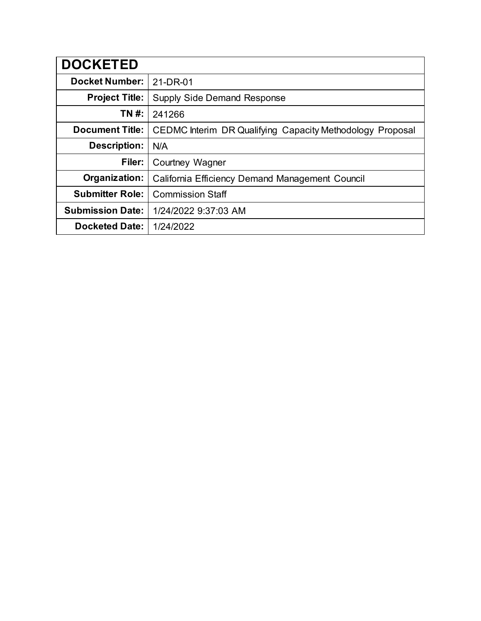| <b>DOCKETED</b>         |                                                           |
|-------------------------|-----------------------------------------------------------|
| <b>Docket Number:</b>   | 21-DR-01                                                  |
| <b>Project Title:</b>   | <b>Supply Side Demand Response</b>                        |
| TN #:                   | 241266                                                    |
| <b>Document Title:</b>  | CEDMC Interim DR Qualifying Capacity Methodology Proposal |
| Description:            | N/A                                                       |
| Filer:                  | Courtney Wagner                                           |
| Organization:           | California Efficiency Demand Management Council           |
| <b>Submitter Role:</b>  | <b>Commission Staff</b>                                   |
| <b>Submission Date:</b> | 1/24/2022 9:37:03 AM                                      |
| <b>Docketed Date:</b>   | 1/24/2022                                                 |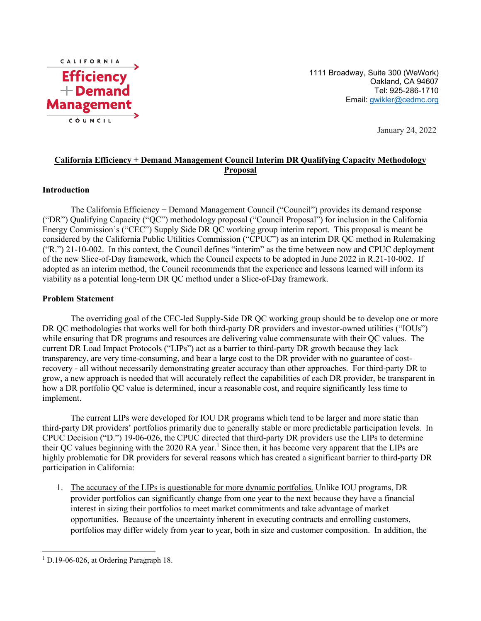

1111 Broadway, Suite 300 (WeWork) Oakland, CA 94607 Tel: 925-286-1710 Email: [gwikler@cedmc.org](mailto:gwikler@cedmc.org)

January 24, 2022

# **California Efficiency + Demand Management Council Interim DR Qualifying Capacity Methodology Proposal**

#### **Introduction**

The California Efficiency + Demand Management Council ("Council") provides its demand response ("DR") Qualifying Capacity ("QC") methodology proposal ("Council Proposal") for inclusion in the California Energy Commission's ("CEC") Supply Side DR QC working group interim report. This proposal is meant be considered by the California Public Utilities Commission ("CPUC") as an interim DR QC method in Rulemaking ("R.") 21-10-002. In this context, the Council defines "interim" as the time between now and CPUC deployment of the new Slice-of-Day framework, which the Council expects to be adopted in June 2022 in R.21-10-002. If adopted as an interim method, the Council recommends that the experience and lessons learned will inform its viability as a potential long-term DR QC method under a Slice-of-Day framework.

#### **Problem Statement**

The overriding goal of the CEC-led Supply-Side DR QC working group should be to develop one or more DR QC methodologies that works well for both third-party DR providers and investor-owned utilities ("IOUs") while ensuring that DR programs and resources are delivering value commensurate with their QC values. The current DR Load Impact Protocols ("LIPs") act as a barrier to third-party DR growth because they lack transparency, are very time-consuming, and bear a large cost to the DR provider with no guarantee of costrecovery - all without necessarily demonstrating greater accuracy than other approaches. For third-party DR to grow, a new approach is needed that will accurately reflect the capabilities of each DR provider, be transparent in how a DR portfolio QC value is determined, incur a reasonable cost, and require significantly less time to implement.

The current LIPs were developed for IOU DR programs which tend to be larger and more static than third-party DR providers' portfolios primarily due to generally stable or more predictable participation levels. In CPUC Decision ("D.") 19-06-026, the CPUC directed that third-party DR providers use the LIPs to determine their QC values beginning with the 2020 RA year.<sup>[1](#page-1-0)</sup> Since then, it has become very apparent that the LIPs are highly problematic for DR providers for several reasons which has created a significant barrier to third-party DR participation in California:

1. The accuracy of the LIPs is questionable for more dynamic portfolios. Unlike IOU programs, DR provider portfolios can significantly change from one year to the next because they have a financial interest in sizing their portfolios to meet market commitments and take advantage of market opportunities. Because of the uncertainty inherent in executing contracts and enrolling customers, portfolios may differ widely from year to year, both in size and customer composition. In addition, the

<span id="page-1-0"></span><sup>&</sup>lt;sup>1</sup> D.19-06-026, at Ordering Paragraph 18.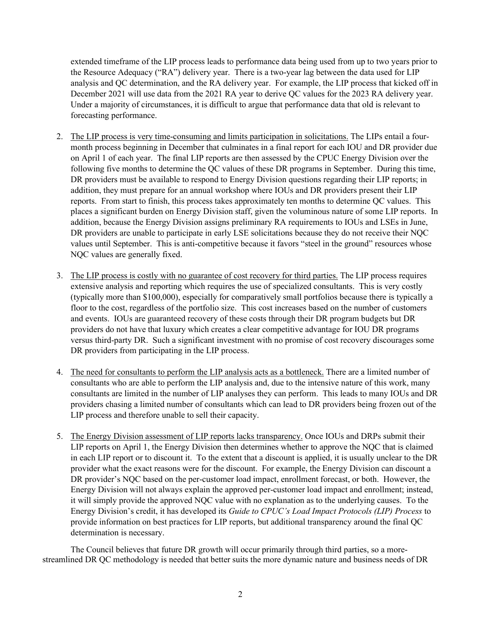extended timeframe of the LIP process leads to performance data being used from up to two years prior to the Resource Adequacy ("RA") delivery year. There is a two-year lag between the data used for LIP analysis and QC determination, and the RA delivery year. For example, the LIP process that kicked off in December 2021 will use data from the 2021 RA year to derive QC values for the 2023 RA delivery year. Under a majority of circumstances, it is difficult to argue that performance data that old is relevant to forecasting performance.

- 2. The LIP process is very time-consuming and limits participation in solicitations. The LIPs entail a fourmonth process beginning in December that culminates in a final report for each IOU and DR provider due on April 1 of each year. The final LIP reports are then assessed by the CPUC Energy Division over the following five months to determine the QC values of these DR programs in September. During this time, DR providers must be available to respond to Energy Division questions regarding their LIP reports; in addition, they must prepare for an annual workshop where IOUs and DR providers present their LIP reports. From start to finish, this process takes approximately ten months to determine QC values. This places a significant burden on Energy Division staff, given the voluminous nature of some LIP reports. In addition, because the Energy Division assigns preliminary RA requirements to IOUs and LSEs in June, DR providers are unable to participate in early LSE solicitations because they do not receive their NQC values until September. This is anti-competitive because it favors "steel in the ground" resources whose NQC values are generally fixed.
- 3. The LIP process is costly with no guarantee of cost recovery for third parties. The LIP process requires extensive analysis and reporting which requires the use of specialized consultants. This is very costly (typically more than \$100,000), especially for comparatively small portfolios because there is typically a floor to the cost, regardless of the portfolio size. This cost increases based on the number of customers and events. IOUs are guaranteed recovery of these costs through their DR program budgets but DR providers do not have that luxury which creates a clear competitive advantage for IOU DR programs versus third-party DR. Such a significant investment with no promise of cost recovery discourages some DR providers from participating in the LIP process.
- 4. The need for consultants to perform the LIP analysis acts as a bottleneck. There are a limited number of consultants who are able to perform the LIP analysis and, due to the intensive nature of this work, many consultants are limited in the number of LIP analyses they can perform. This leads to many IOUs and DR providers chasing a limited number of consultants which can lead to DR providers being frozen out of the LIP process and therefore unable to sell their capacity.
- 5. The Energy Division assessment of LIP reports lacks transparency. Once IOUs and DRPs submit their LIP reports on April 1, the Energy Division then determines whether to approve the NQC that is claimed in each LIP report or to discount it. To the extent that a discount is applied, it is usually unclear to the DR provider what the exact reasons were for the discount. For example, the Energy Division can discount a DR provider's NQC based on the per-customer load impact, enrollment forecast, or both. However, the Energy Division will not always explain the approved per-customer load impact and enrollment; instead, it will simply provide the approved NQC value with no explanation as to the underlying causes. To the Energy Division's credit, it has developed its *Guide to CPUC's Load Impact Protocols (LIP) Process* to provide information on best practices for LIP reports, but additional transparency around the final QC determination is necessary.

The Council believes that future DR growth will occur primarily through third parties, so a morestreamlined DR QC methodology is needed that better suits the more dynamic nature and business needs of DR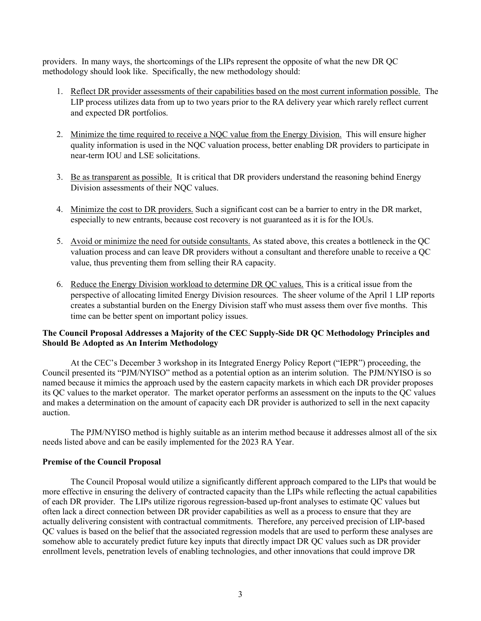providers. In many ways, the shortcomings of the LIPs represent the opposite of what the new DR QC methodology should look like. Specifically, the new methodology should:

- 1. Reflect DR provider assessments of their capabilities based on the most current information possible. The LIP process utilizes data from up to two years prior to the RA delivery year which rarely reflect current and expected DR portfolios.
- 2. Minimize the time required to receive a NQC value from the Energy Division. This will ensure higher quality information is used in the NQC valuation process, better enabling DR providers to participate in near-term IOU and LSE solicitations.
- 3. Be as transparent as possible. It is critical that DR providers understand the reasoning behind Energy Division assessments of their NQC values.
- 4. Minimize the cost to DR providers. Such a significant cost can be a barrier to entry in the DR market, especially to new entrants, because cost recovery is not guaranteed as it is for the IOUs.
- 5. Avoid or minimize the need for outside consultants. As stated above, this creates a bottleneck in the QC valuation process and can leave DR providers without a consultant and therefore unable to receive a QC value, thus preventing them from selling their RA capacity.
- 6. Reduce the Energy Division workload to determine DR QC values. This is a critical issue from the perspective of allocating limited Energy Division resources. The sheer volume of the April 1 LIP reports creates a substantial burden on the Energy Division staff who must assess them over five months. This time can be better spent on important policy issues.

## **The Council Proposal Addresses a Majority of the CEC Supply-Side DR QC Methodology Principles and Should Be Adopted as An Interim Methodology**

At the CEC's December 3 workshop in its Integrated Energy Policy Report ("IEPR") proceeding, the Council presented its "PJM/NYISO" method as a potential option as an interim solution. The PJM/NYISO is so named because it mimics the approach used by the eastern capacity markets in which each DR provider proposes its QC values to the market operator. The market operator performs an assessment on the inputs to the QC values and makes a determination on the amount of capacity each DR provider is authorized to sell in the next capacity auction.

The PJM/NYISO method is highly suitable as an interim method because it addresses almost all of the six needs listed above and can be easily implemented for the 2023 RA Year.

### **Premise of the Council Proposal**

The Council Proposal would utilize a significantly different approach compared to the LIPs that would be more effective in ensuring the delivery of contracted capacity than the LIPs while reflecting the actual capabilities of each DR provider. The LIPs utilize rigorous regression-based up-front analyses to estimate QC values but often lack a direct connection between DR provider capabilities as well as a process to ensure that they are actually delivering consistent with contractual commitments. Therefore, any perceived precision of LIP-based QC values is based on the belief that the associated regression models that are used to perform these analyses are somehow able to accurately predict future key inputs that directly impact DR QC values such as DR provider enrollment levels, penetration levels of enabling technologies, and other innovations that could improve DR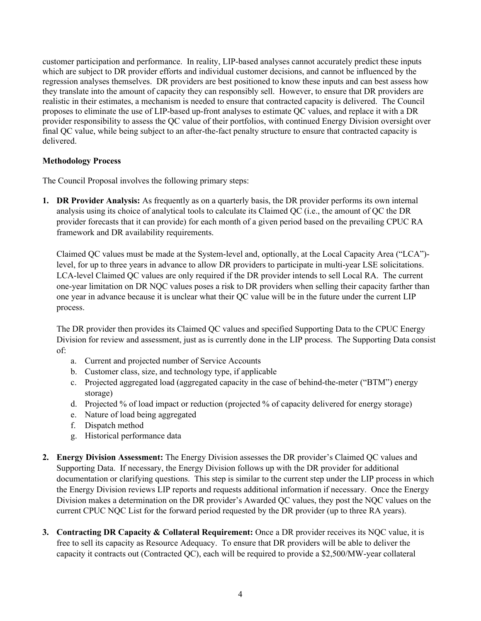customer participation and performance. In reality, LIP-based analyses cannot accurately predict these inputs which are subject to DR provider efforts and individual customer decisions, and cannot be influenced by the regression analyses themselves. DR providers are best positioned to know these inputs and can best assess how they translate into the amount of capacity they can responsibly sell. However, to ensure that DR providers are realistic in their estimates, a mechanism is needed to ensure that contracted capacity is delivered. The Council proposes to eliminate the use of LIP-based up-front analyses to estimate QC values, and replace it with a DR provider responsibility to assess the QC value of their portfolios, with continued Energy Division oversight over final QC value, while being subject to an after-the-fact penalty structure to ensure that contracted capacity is delivered.

## **Methodology Process**

The Council Proposal involves the following primary steps:

**1. DR Provider Analysis:** As frequently as on a quarterly basis, the DR provider performs its own internal analysis using its choice of analytical tools to calculate its Claimed QC (i.e., the amount of QC the DR provider forecasts that it can provide) for each month of a given period based on the prevailing CPUC RA framework and DR availability requirements.

Claimed QC values must be made at the System-level and, optionally, at the Local Capacity Area ("LCA") level, for up to three years in advance to allow DR providers to participate in multi-year LSE solicitations. LCA-level Claimed QC values are only required if the DR provider intends to sell Local RA. The current one-year limitation on DR NQC values poses a risk to DR providers when selling their capacity farther than one year in advance because it is unclear what their QC value will be in the future under the current LIP process.

The DR provider then provides its Claimed QC values and specified Supporting Data to the CPUC Energy Division for review and assessment, just as is currently done in the LIP process. The Supporting Data consist of:

- a. Current and projected number of Service Accounts
- b. Customer class, size, and technology type, if applicable
- c. Projected aggregated load (aggregated capacity in the case of behind-the-meter ("BTM") energy storage)
- d. Projected % of load impact or reduction (projected % of capacity delivered for energy storage)
- e. Nature of load being aggregated
- f. Dispatch method
- g. Historical performance data
- **2. Energy Division Assessment:** The Energy Division assesses the DR provider's Claimed QC values and Supporting Data. If necessary, the Energy Division follows up with the DR provider for additional documentation or clarifying questions. This step is similar to the current step under the LIP process in which the Energy Division reviews LIP reports and requests additional information if necessary. Once the Energy Division makes a determination on the DR provider's Awarded QC values, they post the NQC values on the current CPUC NQC List for the forward period requested by the DR provider (up to three RA years).
- **3. Contracting DR Capacity & Collateral Requirement:** Once a DR provider receives its NQC value, it is free to sell its capacity as Resource Adequacy. To ensure that DR providers will be able to deliver the capacity it contracts out (Contracted QC), each will be required to provide a \$2,500/MW-year collateral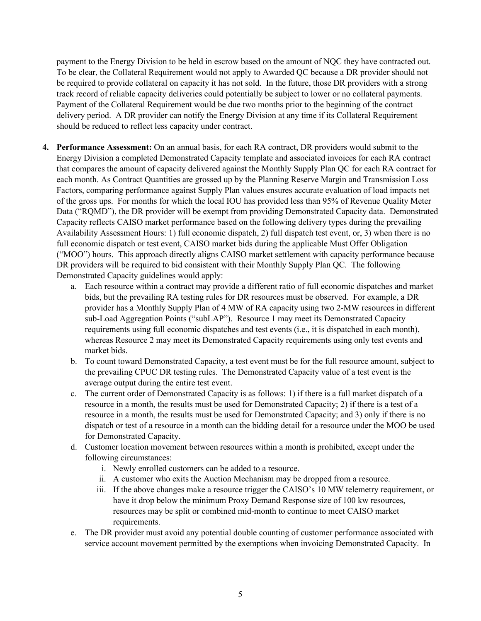payment to the Energy Division to be held in escrow based on the amount of NQC they have contracted out. To be clear, the Collateral Requirement would not apply to Awarded QC because a DR provider should not be required to provide collateral on capacity it has not sold. In the future, those DR providers with a strong track record of reliable capacity deliveries could potentially be subject to lower or no collateral payments. Payment of the Collateral Requirement would be due two months prior to the beginning of the contract delivery period. A DR provider can notify the Energy Division at any time if its Collateral Requirement should be reduced to reflect less capacity under contract.

- **4. Performance Assessment:** On an annual basis, for each RA contract, DR providers would submit to the Energy Division a completed Demonstrated Capacity template and associated invoices for each RA contract that compares the amount of capacity delivered against the Monthly Supply Plan QC for each RA contract for each month. As Contract Quantities are grossed up by the Planning Reserve Margin and Transmission Loss Factors, comparing performance against Supply Plan values ensures accurate evaluation of load impacts net of the gross ups. For months for which the local IOU has provided less than 95% of Revenue Quality Meter Data ("RQMD"), the DR provider will be exempt from providing Demonstrated Capacity data. Demonstrated Capacity reflects CAISO market performance based on the following delivery types during the prevailing Availability Assessment Hours: 1) full economic dispatch, 2) full dispatch test event, or, 3) when there is no full economic dispatch or test event, CAISO market bids during the applicable Must Offer Obligation ("MOO") hours. This approach directly aligns CAISO market settlement with capacity performance because DR providers will be required to bid consistent with their Monthly Supply Plan QC. The following Demonstrated Capacity guidelines would apply:
	- a. Each resource within a contract may provide a different ratio of full economic dispatches and market bids, but the prevailing RA testing rules for DR resources must be observed. For example, a DR provider has a Monthly Supply Plan of 4 MW of RA capacity using two 2-MW resources in different sub-Load Aggregation Points ("subLAP"). Resource 1 may meet its Demonstrated Capacity requirements using full economic dispatches and test events (i.e., it is dispatched in each month), whereas Resource 2 may meet its Demonstrated Capacity requirements using only test events and market bids.
	- b. To count toward Demonstrated Capacity, a test event must be for the full resource amount, subject to the prevailing CPUC DR testing rules. The Demonstrated Capacity value of a test event is the average output during the entire test event.
	- c. The current order of Demonstrated Capacity is as follows: 1) if there is a full market dispatch of a resource in a month, the results must be used for Demonstrated Capacity; 2) if there is a test of a resource in a month, the results must be used for Demonstrated Capacity; and 3) only if there is no dispatch or test of a resource in a month can the bidding detail for a resource under the MOO be used for Demonstrated Capacity.
	- d. Customer location movement between resources within a month is prohibited, except under the following circumstances:
		- i. Newly enrolled customers can be added to a resource.
		- ii. A customer who exits the Auction Mechanism may be dropped from a resource.
		- iii. If the above changes make a resource trigger the CAISO's 10 MW telemetry requirement, or have it drop below the minimum Proxy Demand Response size of 100 kw resources, resources may be split or combined mid-month to continue to meet CAISO market requirements.
	- e. The DR provider must avoid any potential double counting of customer performance associated with service account movement permitted by the exemptions when invoicing Demonstrated Capacity. In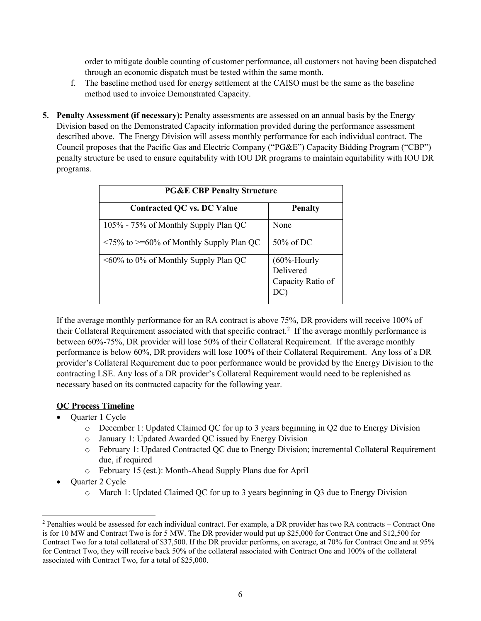order to mitigate double counting of customer performance, all customers not having been dispatched through an economic dispatch must be tested within the same month.

- f. The baseline method used for energy settlement at the CAISO must be the same as the baseline method used to invoice Demonstrated Capacity.
- **5. Penalty Assessment (if necessary):** Penalty assessments are assessed on an annual basis by the Energy Division based on the Demonstrated Capacity information provided during the performance assessment described above. The Energy Division will assess monthly performance for each individual contract. The Council proposes that the Pacific Gas and Electric Company ("PG&E") Capacity Bidding Program ("CBP") penalty structure be used to ensure equitability with IOU DR programs to maintain equitability with IOU DR programs.

| <b>PG&amp;E CBP Penalty Structure</b>       |                             |  |
|---------------------------------------------|-----------------------------|--|
| <b>Contracted QC vs. DC Value</b>           | <b>Penalty</b>              |  |
| 105% - 75% of Monthly Supply Plan QC        | None                        |  |
| <75% to >=60% of Monthly Supply Plan QC     | $50\%$ of DC                |  |
| $\leq 60\%$ to 0% of Monthly Supply Plan QC | $(60%$ -Hourly<br>Delivered |  |
|                                             | Capacity Ratio of<br>DC     |  |

If the average monthly performance for an RA contract is above 75%, DR providers will receive 100% of their Collateral Requirement associated with that specific contract.<sup>[2](#page-6-0)</sup> If the average monthly performance is between 60%-75%, DR provider will lose 50% of their Collateral Requirement. If the average monthly performance is below 60%, DR providers will lose 100% of their Collateral Requirement. Any loss of a DR provider's Collateral Requirement due to poor performance would be provided by the Energy Division to the contracting LSE. Any loss of a DR provider's Collateral Requirement would need to be replenished as necessary based on its contracted capacity for the following year.

# **QC Process Timeline**

- Quarter 1 Cycle
	- o December 1: Updated Claimed QC for up to 3 years beginning in Q2 due to Energy Division
	- o January 1: Updated Awarded QC issued by Energy Division
	- o February 1: Updated Contracted QC due to Energy Division; incremental Collateral Requirement due, if required
	- o February 15 (est.): Month-Ahead Supply Plans due for April
- Quarter 2 Cycle
	- o March 1: Updated Claimed QC for up to 3 years beginning in Q3 due to Energy Division

<span id="page-6-0"></span><sup>2</sup> Penalties would be assessed for each individual contract. For example, a DR provider has two RA contracts – Contract One is for 10 MW and Contract Two is for 5 MW. The DR provider would put up \$25,000 for Contract One and \$12,500 for Contract Two for a total collateral of \$37,500. If the DR provider performs, on average, at 70% for Contract One and at 95% for Contract Two, they will receive back 50% of the collateral associated with Contract One and 100% of the collateral associated with Contract Two, for a total of \$25,000.